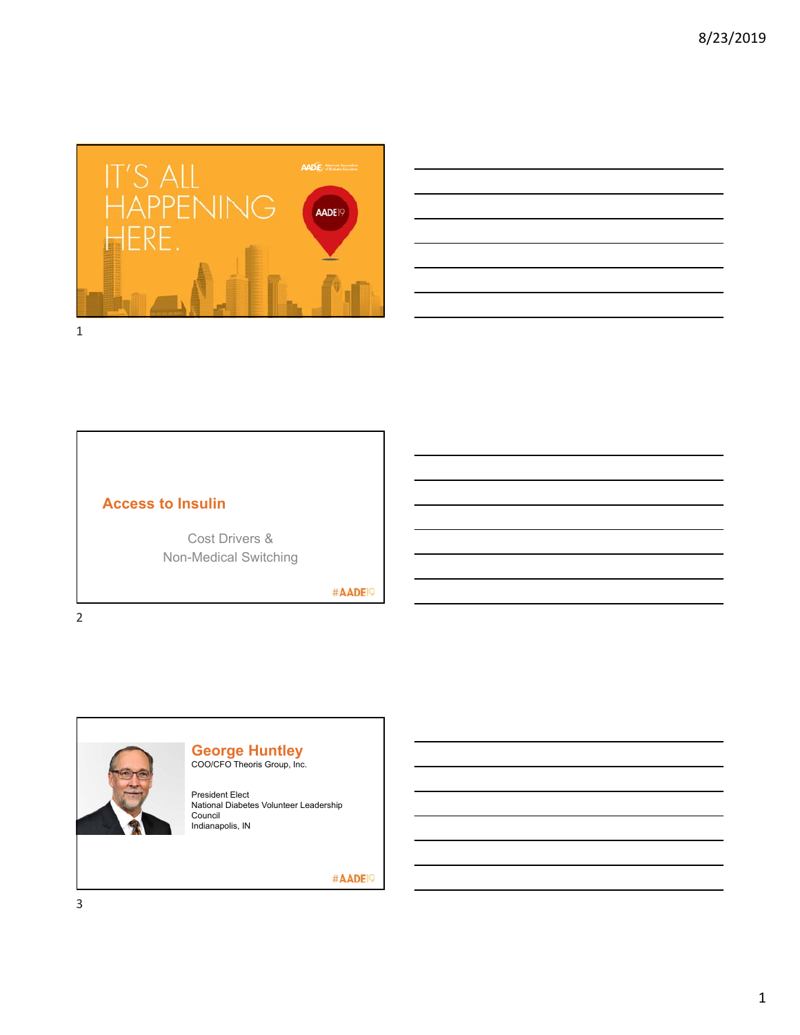

| <u> 1989 - Johann Barbara, martin amerikan bahasa dalam bahasa dalam bahasa dalam bahasa dalam bahasa dalam baha</u>                                                                                                          |  |  |
|-------------------------------------------------------------------------------------------------------------------------------------------------------------------------------------------------------------------------------|--|--|
|                                                                                                                                                                                                                               |  |  |
|                                                                                                                                                                                                                               |  |  |
|                                                                                                                                                                                                                               |  |  |
| <u> 1989 - Johann Stoff, amerikansk politiker (d. 1989)</u>                                                                                                                                                                   |  |  |
|                                                                                                                                                                                                                               |  |  |
|                                                                                                                                                                                                                               |  |  |
|                                                                                                                                                                                                                               |  |  |
|                                                                                                                                                                                                                               |  |  |
| the control of the control of the control of the control of the control of the control of the control of the control of the control of the control of the control of the control of the control of the control of the control |  |  |

## **Access to Insulin**

Cost Drivers & Non-Medical Switching

#AADE<sup>19</sup>



### **George Huntley** COO/CFO Theoris Group, Inc.

President Elect National Diabetes Volunteer Leadership Council

Indianapolis, IN

#AADE<sup>19</sup>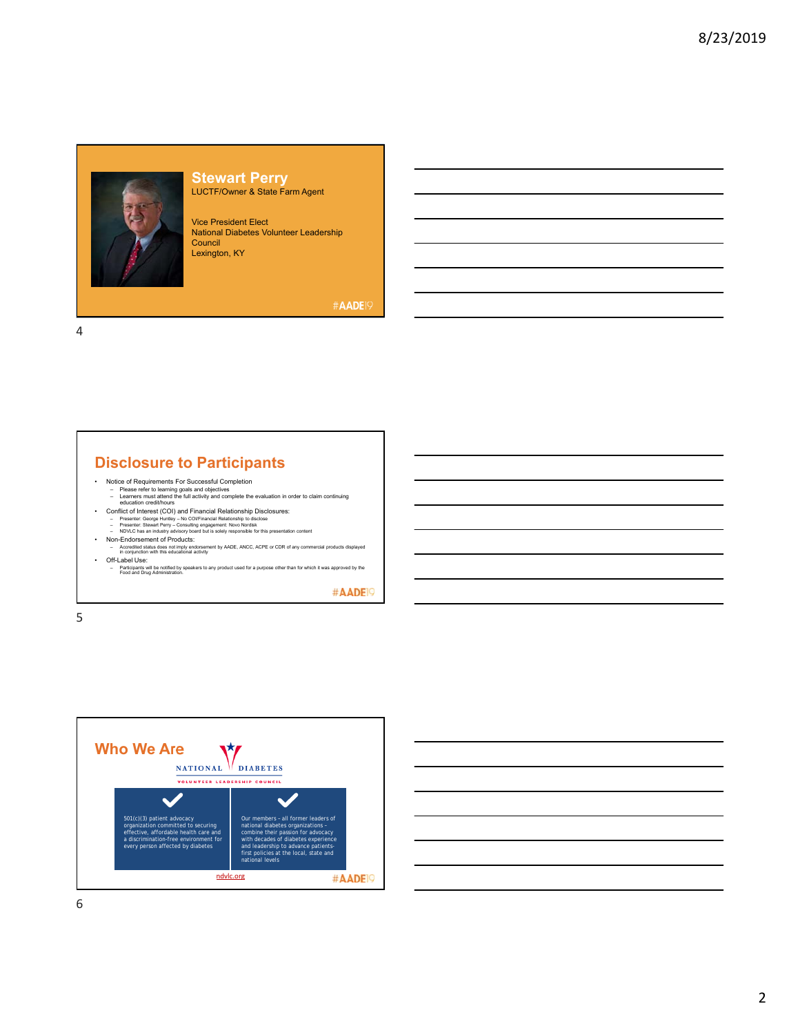

### **Stewart Perry** LUCTF/Owner & State Farm Agent

Vice President Elect National Diabetes Volunteer Leadership Council Lexington, KY

#AADE19

4

# **Disclosure to Participants**

- 
- Notice of Requirements For Successful Completion<br>- Please refer to learning goals and objectives<br>- Learners must attend the full activity and complete the evaluation in order to claim continuing<br>- ducustion credit/hours<br>
	-
	-
	-
- Presenter: George Hurlisty No COI/Financial Relationship to disclose<br>- Presenter: Stewart Perry Consulting engagement: Novo Nordisk<br>- NOVIC has an industry advisory board but is solely responsible for this presentati • Off-Label Use:
- Participants will be notified by speakers to any product used for a purpose other than for which it was approved by the Food and Drug Administration.

#AADE<sup>19</sup>

5



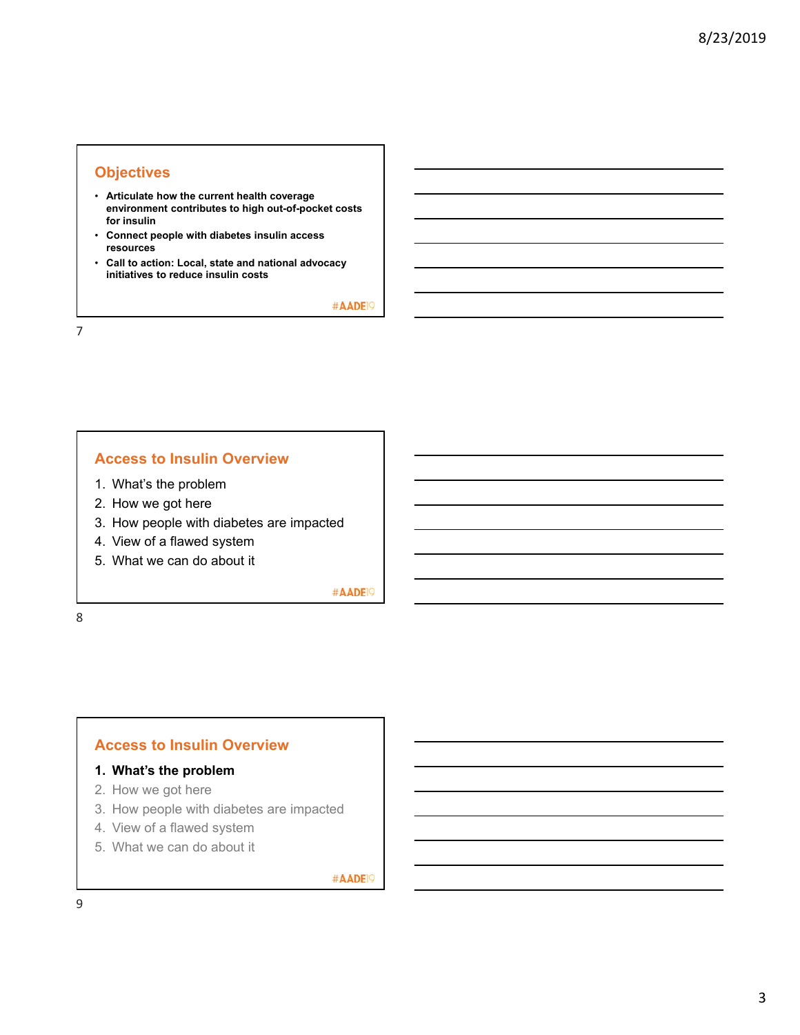## **Objectives**

- **Articulate how the current health coverage environment contributes to high out-of-pocket costs for insulin**
- **Connect people with diabetes insulin access resources**
- **Call to action: Local, state and national advocacy initiatives to reduce insulin costs**

#AADE<sup>19</sup>

7

## **Access to Insulin Overview**

- 1. What's the problem
- 2. How we got here
- 3. How people with diabetes are impacted
- 4. View of a flawed system
- 5. What we can do about it

#AADE<sup>19</sup>

8

## **Access to Insulin Overview**

### **1. What's the problem**

- 2. How we got here
- 3. How people with diabetes are impacted
- 4. View of a flawed system
- 5. What we can do about it

#AADE<sup>19</sup>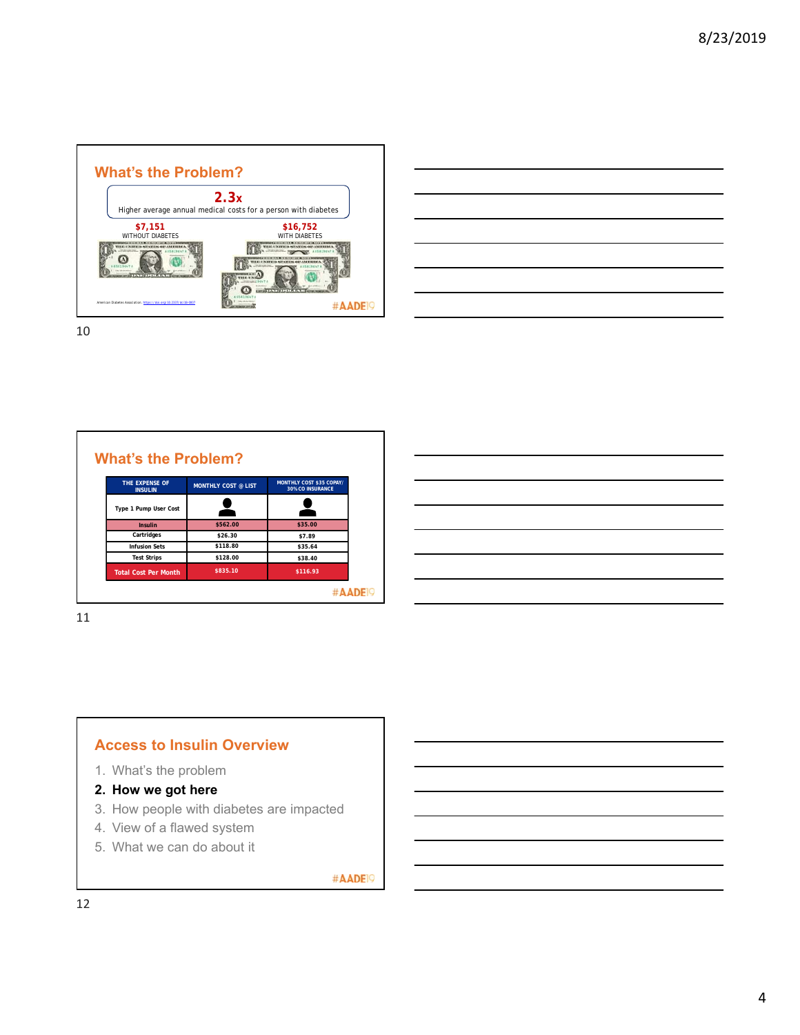

| $\overline{\phantom{a}}$                                                                                                                                                                                                                        |  | $\overline{\phantom{a}}$ |
|-------------------------------------------------------------------------------------------------------------------------------------------------------------------------------------------------------------------------------------------------|--|--------------------------|
|                                                                                                                                                                                                                                                 |  |                          |
| <u> Alexandro de la contrada de la contrada de la contrada de la contrada de la contrada de la contrada de la co</u><br><u> The Communication of the Communication of the Communication of the Communication of the Communication of the Co</u> |  |                          |
|                                                                                                                                                                                                                                                 |  | ___                      |
| <u> Alexandro de la contrada de la contrada de la contrada de la contrada de la contrada de la contrada de la con</u>                                                                                                                           |  |                          |
| ,我们的人们也不会有什么?""我们的人们,我们也不会有什么?""我们的人们,我们的人们也不会有什么?""我们的人们,我们的人们的人们,我们的人们的人们,我们的人<br>第2011章 我们的人们的人们,我们的人们的人们的人们,我们的人们的人们的人们,我们的人们的人们的人们,我们的人们的人们的人们,我们的人们的人们的人们,我们的人                                                                            |  |                          |
| <u> 1989 - Johann Stoff, deutscher Stoff, der Stoff, der Stoff, der Stoff, der Stoff, der Stoff, der Stoff, der S</u>                                                                                                                           |  |                          |

| THE EXPENSE OF<br><b>INSULIN</b> | <b>MONTHLY COST @ LIST</b> | <b>MONTHLY COST \$35 COPAY/</b><br><b>30% CO INSURANCE</b> |
|----------------------------------|----------------------------|------------------------------------------------------------|
| Type 1 Pump User Cost            |                            |                                                            |
| Insulin                          | \$562.00                   | \$35.00                                                    |
| Cartridges                       | \$26.30                    | \$7.89                                                     |
| <b>Infusion Sets</b>             | \$118.80                   | \$35.64                                                    |
| <b>Test Strips</b>               | \$128.00                   | \$38.40                                                    |
| <b>Total Cost Per Month</b>      | \$835.10                   | \$116.93                                                   |

11

## **Access to Insulin Overview**

- 1. What's the problem
- **2. How we got here**
- 3. How people with diabetes are impacted
- 4. View of a flawed system
- 5. What we can do about it

#AADE<sup>19</sup>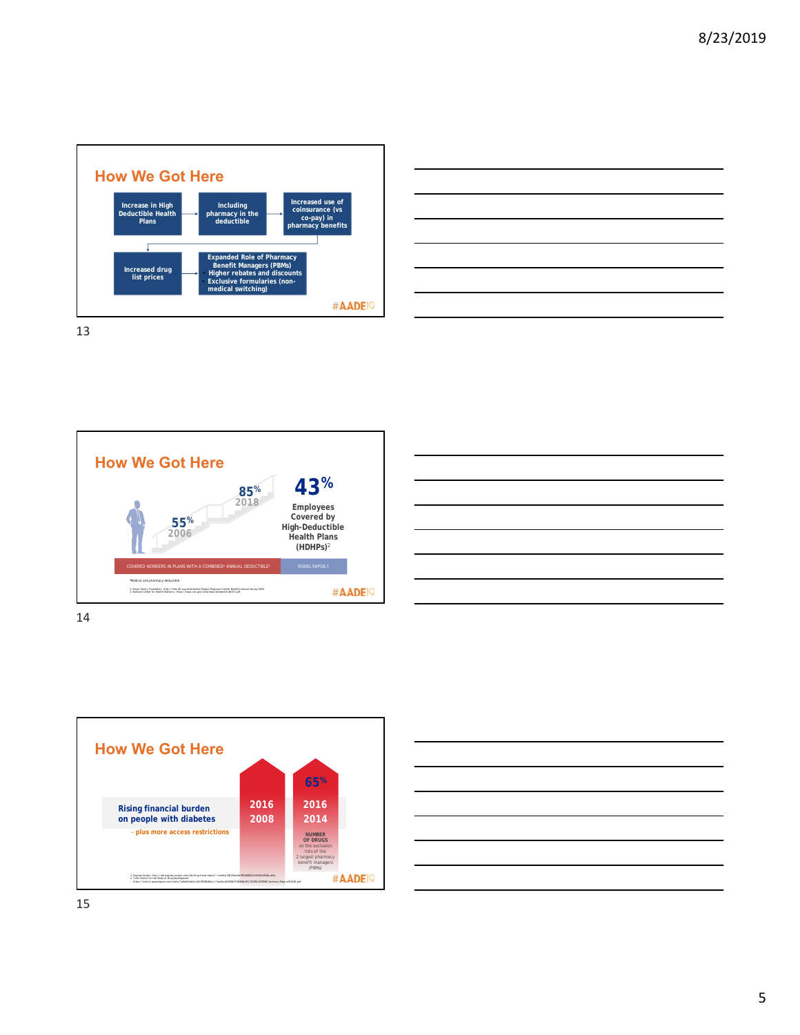











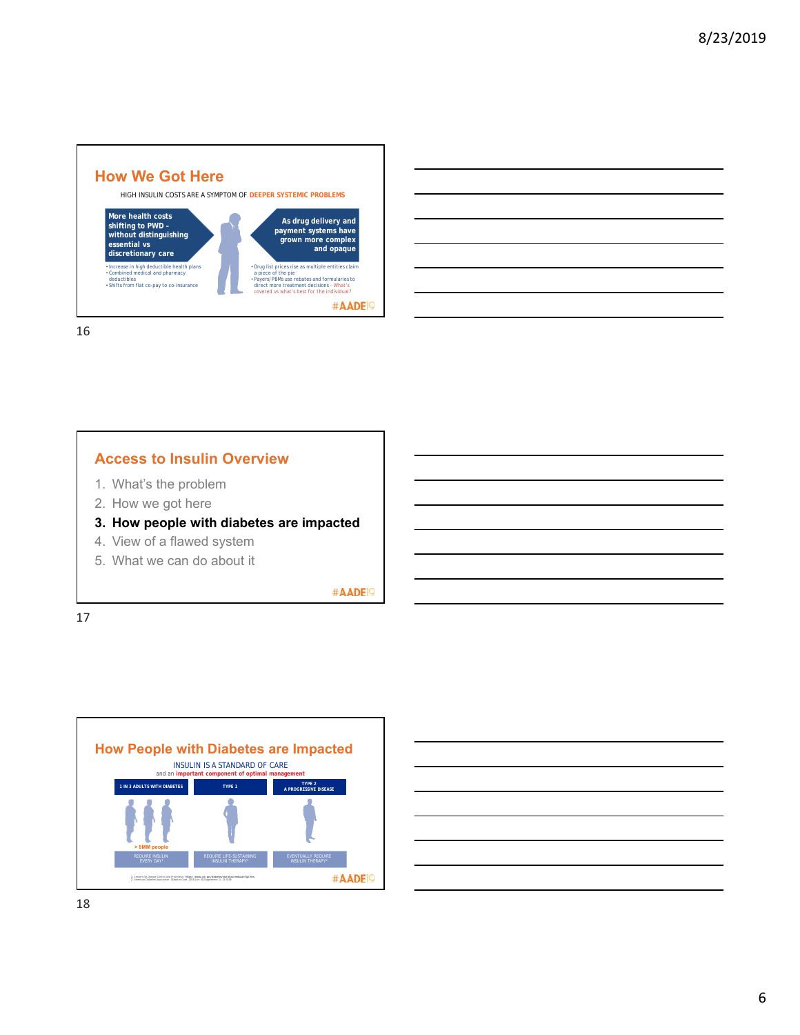



## **Access to Insulin Overview**

- 1. What's the problem
- 2. How we got here

## **3. How people with diabetes are impacted**

- 4. View of a flawed system
- 5. What we can do about it

#AADE<sup>19</sup>

17



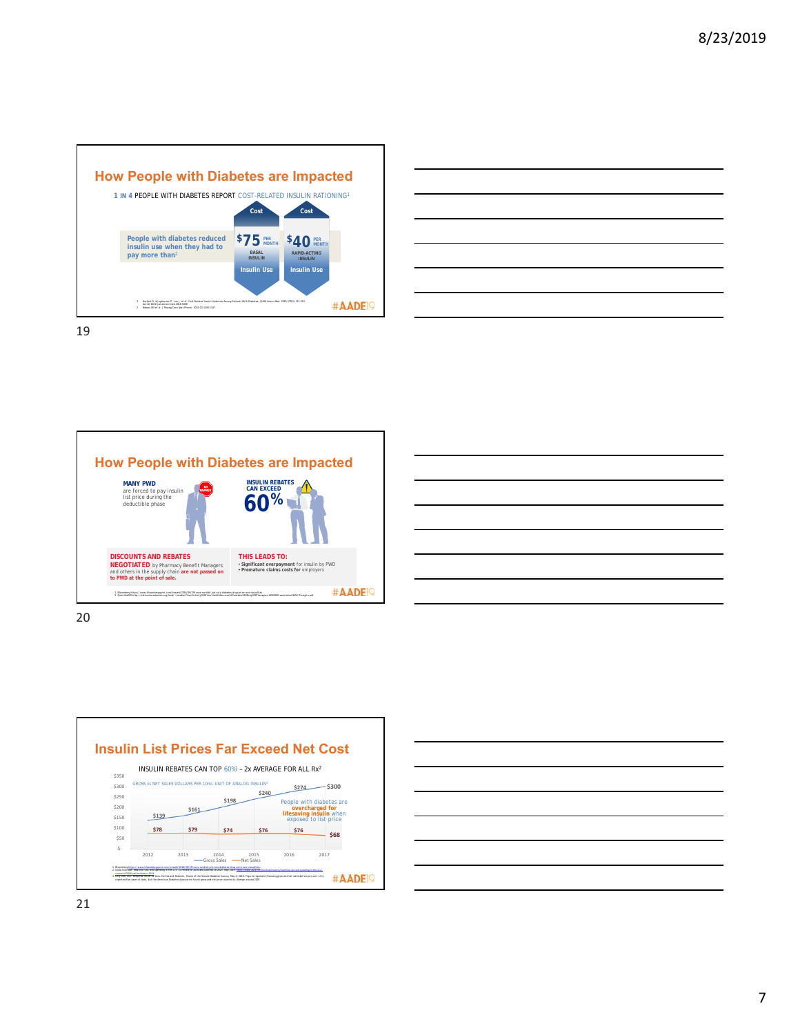

| <u> 1988 - Andrea Santa Andrea Santa Andrea Santa Andrea Santa Andrea Santa Andrea Santa Andrea Santa Andrea San</u>   |                                                                                                                                                                      |                                                                                 |  |
|------------------------------------------------------------------------------------------------------------------------|----------------------------------------------------------------------------------------------------------------------------------------------------------------------|---------------------------------------------------------------------------------|--|
|                                                                                                                        |                                                                                                                                                                      |                                                                                 |  |
| <u> 1989 - Johann Stoff, deutscher Stoffen und der Stoffen und der Stoffen und der Stoffen und der Stoffen und der</u> |                                                                                                                                                                      |                                                                                 |  |
|                                                                                                                        |                                                                                                                                                                      | the contract of the contract of the contract of the contract of the contract of |  |
|                                                                                                                        |                                                                                                                                                                      |                                                                                 |  |
| <u> Andreas Andrews Andrews Andrews Andrews Andrews Andrews Andrews Andrews Andrews Andrews Andrews Andrews Andr</u>   |                                                                                                                                                                      |                                                                                 |  |
|                                                                                                                        | ,我们也不会有一个人的事情。""我们的人们,我们也不会有一个人的人,我们也不会有一个人的人,我们也不会有一个人的人,我们也不会有一个人的人,我们也不会有一个人的<br>第一百一十一章 我们的人,我们的人们的人们,我们的人们的人们的人们,我们的人们的人们的人们,我们的人们的人们,我们的人们的人们,我们的人们的人们,我们的人们的人 |                                                                                 |  |









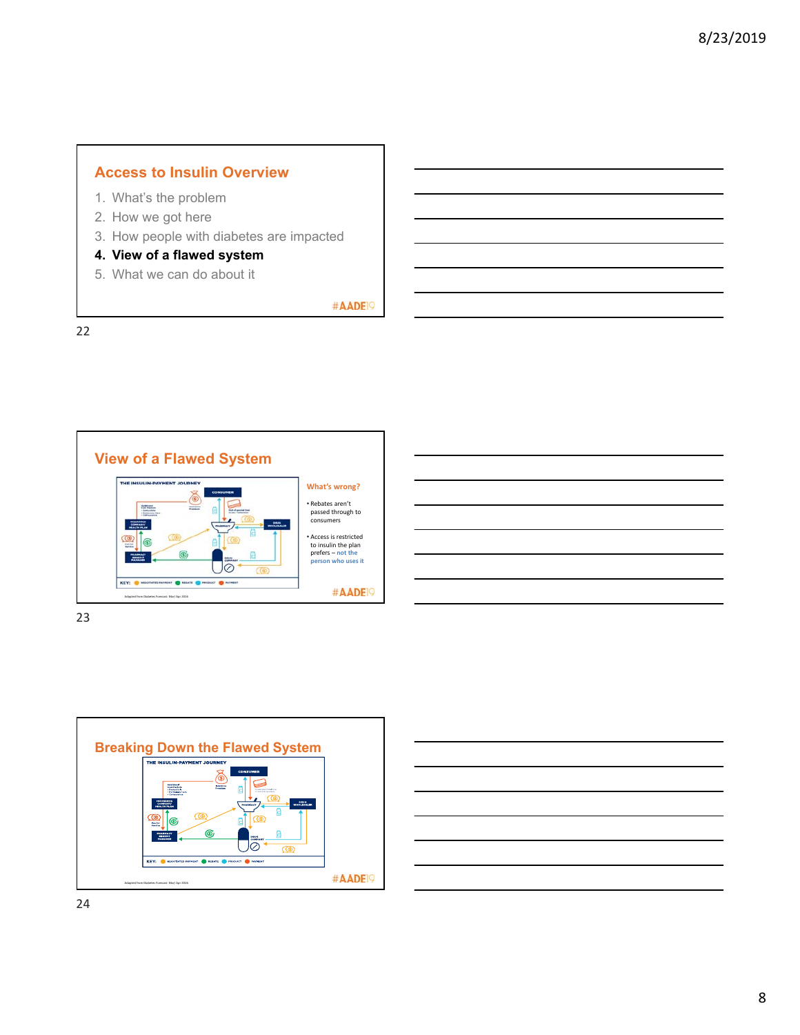# **Access to Insulin Overview**

- 1. What's the problem
- 2. How we got here
- 3. How people with diabetes are impacted
- **4. View of a flawed system**
- 5. What we can do about it

#AADE<sup>19</sup>

22



| <u> 1988 - Johann John Stoff, deutscher Stoffen und der Stoffen und der Stoffen und der Stoffen und der Stoffen un</u>                                                                                                        |  |                                   |  |
|-------------------------------------------------------------------------------------------------------------------------------------------------------------------------------------------------------------------------------|--|-----------------------------------|--|
| <u> 1989 - Johann Stoff, amerikansk politiker (d. 1989)</u>                                                                                                                                                                   |  |                                   |  |
| the control of the control of the control of the control of the control of the control of the control of the control of the control of the control of the control of the control of the control of the control of the control |  | and the control of the control of |  |
|                                                                                                                                                                                                                               |  |                                   |  |
|                                                                                                                                                                                                                               |  |                                   |  |
|                                                                                                                                                                                                                               |  |                                   |  |
|                                                                                                                                                                                                                               |  |                                   |  |

23



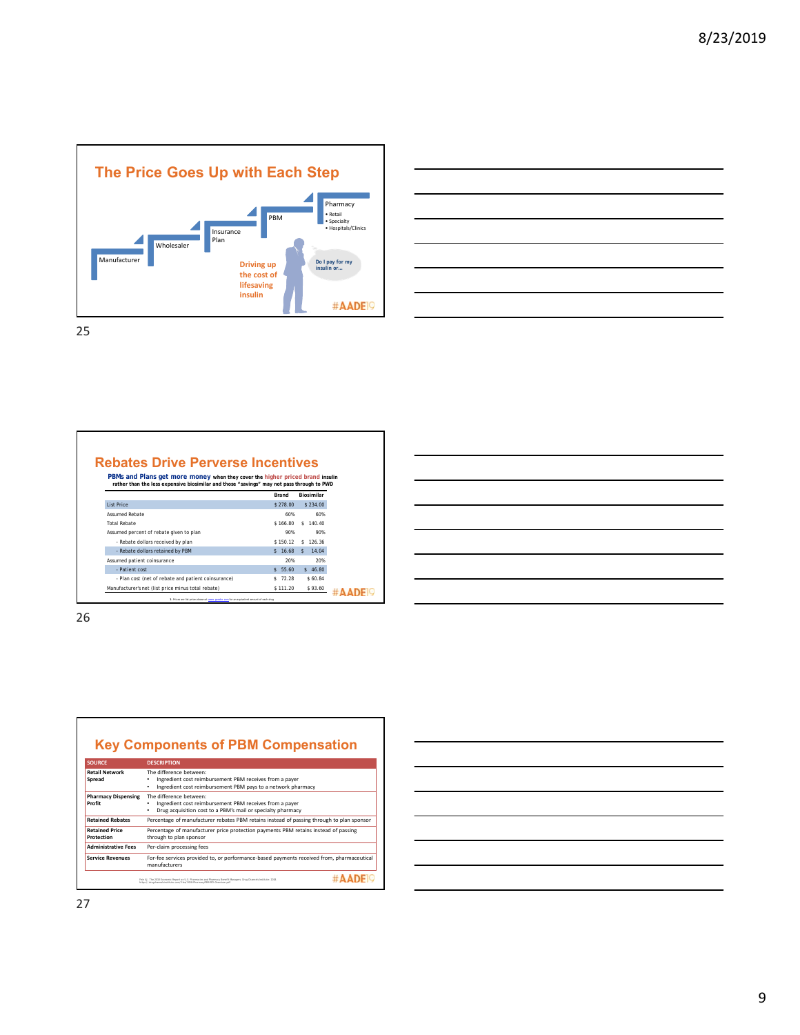



| <b>Rebates Drive Perverse Incentives</b>                                                                                                                                   |              |                       |  |
|----------------------------------------------------------------------------------------------------------------------------------------------------------------------------|--------------|-----------------------|--|
| PBMs and Plans get more money when they cover the higher priced brand insulin<br>rather than the less expensive biosimilar and those "savings" may not pass through to PWD |              |                       |  |
|                                                                                                                                                                            | <b>Brand</b> | Biosimilar            |  |
| List Price                                                                                                                                                                 | \$278,00     | \$234.00              |  |
| <b>Assumed Rebate</b>                                                                                                                                                      | 60%          | 60%                   |  |
| <b>Total Rebate</b>                                                                                                                                                        | \$166.80     | 140.40<br>$\sim$      |  |
| Assumed percent of rebate given to plan                                                                                                                                    | 90%          | 90%                   |  |
| - Rebate dollars received by plan                                                                                                                                          | \$150.12     | 126.36<br>s.          |  |
| - Rebate dollars retained by PBM                                                                                                                                           | \$16.68      | 14.04<br>$\mathbf{s}$ |  |
| Assumed patient coinsurance                                                                                                                                                | 20%          | 20%                   |  |
| - Patient cost                                                                                                                                                             | \$5,60       | \$46.80               |  |
| - Plan cost (net of rebate and patient coinsurance)                                                                                                                        | \$72.28      | \$60.84               |  |
| Manufacturer's net (list price minus total rebate)                                                                                                                         | \$111.20     | \$93.60               |  |
| 1. Prices are list prices shown at www.goodrx.com for an equivalent amount of each drug                                                                                    |              |                       |  |

# **Key Components of PBM Compensation**

| <b>SOURCE</b>                        | <b>DESCRIPTION</b>                                                                                                                                                                             |
|--------------------------------------|------------------------------------------------------------------------------------------------------------------------------------------------------------------------------------------------|
| <b>Retail Network</b><br>Spread      | The difference between:<br>Ingredient cost reimbursement PBM receives from a payer<br>Ingredient cost reimbursement PBM pays to a network pharmacy<br>٠                                        |
| <b>Pharmacy Dispensing</b><br>Profit | The difference between:<br>Ingredient cost reimbursement PBM receives from a payer<br>Drug acquisition cost to a PBM's mail or specialty pharmacy                                              |
| <b>Retained Rebates</b>              | Percentage of manufacturer rebates PBM retains instead of passing through to plan sponsor                                                                                                      |
| <b>Retained Price</b><br>Protection  | Percentage of manufacturer price protection payments PBM retains instead of passing<br>through to plan sponsor                                                                                 |
| <b>Administrative Fees</b>           | Per-claim processing fees                                                                                                                                                                      |
| <b>Service Revenues</b>              | For-fee services provided to, or performance-based payments received from, pharmaceutical<br>manufacturers                                                                                     |
|                                      | Fein AJ. The 2018 Economic Report on U.S. Pharmacies and Pharmacy Benefit Managers, Drug Channels Institute: 2018.<br>https://drugchannelsimtitute.com/files/2019-PharmacyPBM-DCI-Overview.odf |

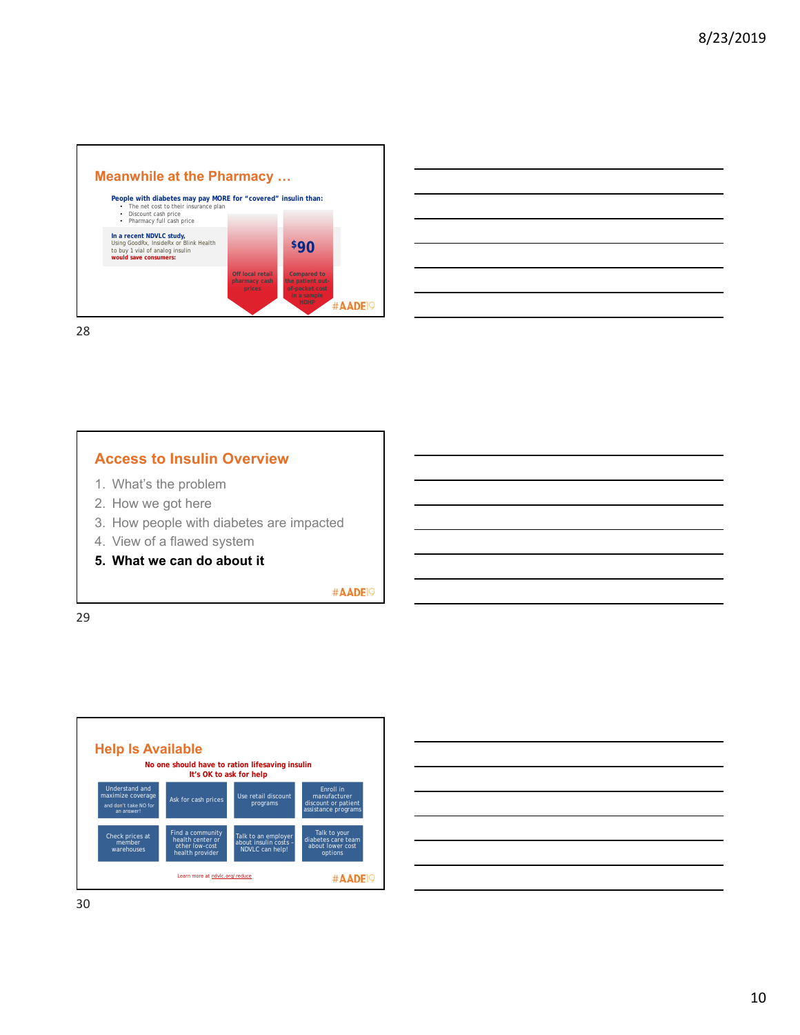

| <u> Andreas Andreas Andreas Andreas Andreas Andreas Andreas Andreas Andreas Andreas Andreas Andreas Andreas Andr</u>                                                                                                                                                                                                                                        |                                                                                  |  |                     |
|-------------------------------------------------------------------------------------------------------------------------------------------------------------------------------------------------------------------------------------------------------------------------------------------------------------------------------------------------------------|----------------------------------------------------------------------------------|--|---------------------|
|                                                                                                                                                                                                                                                                                                                                                             |                                                                                  |  |                     |
|                                                                                                                                                                                                                                                                                                                                                             |                                                                                  |  |                     |
| and the contract of the contract of the contract of the contract of the contract of the contract of the contract of<br><u>and the contract of the contract of the contract of the contract of the contract of the contract of the contract of the contract of the contract of the contract of the contract of the contract of the contract of the contr</u> |                                                                                  |  | ________<br>_______ |
|                                                                                                                                                                                                                                                                                                                                                             | ,我们也不会有一个人的事情。""我们的人们是不是我们的人,我们也不会有一个人的人,我们也不会有一个人的人,我们也不会有一个人的人,我们也不会有一个人的人,我们也 |  |                     |
|                                                                                                                                                                                                                                                                                                                                                             |                                                                                  |  |                     |

## **Access to Insulin Overview**

- 1. What's the problem
- 2. How we got here
- 3. How people with diabetes are impacted
- 4. View of a flawed system
- **5. What we can do about it**

#AADE<sup>19</sup>

29



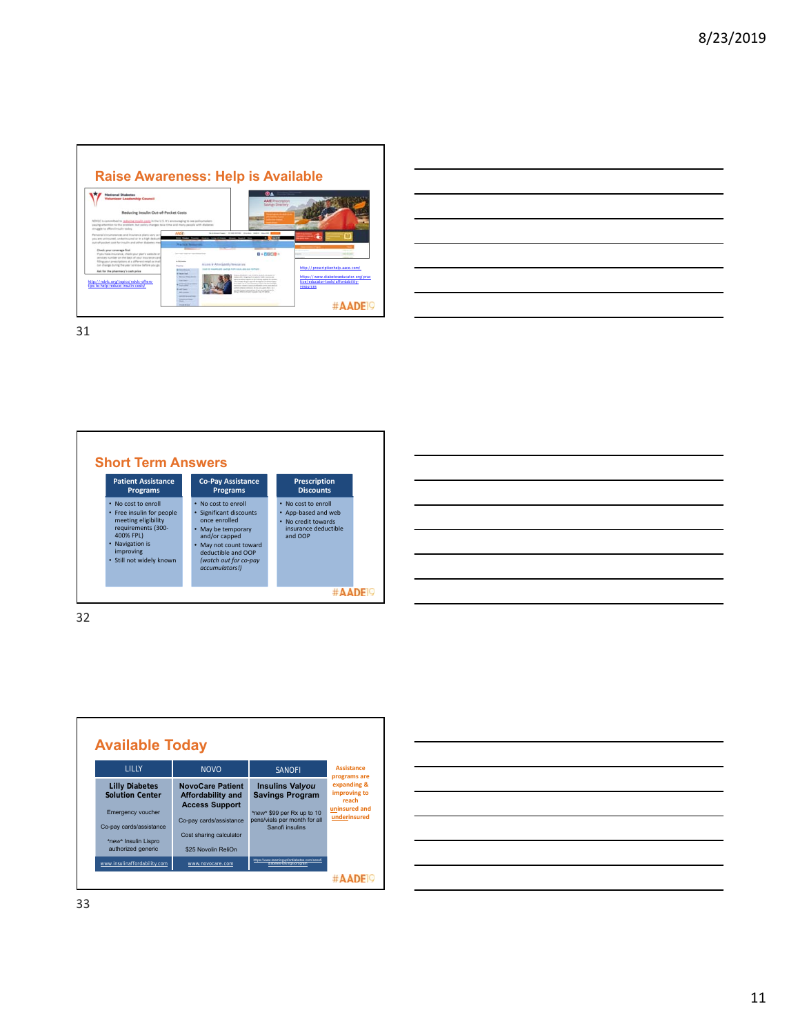|                                                                                                                                                                                                                                                        |                                                                             |                                                     |                                                                                                                                                                                                                                                                                                                                                                                                                                  | <b>Raise Awareness: Help is Available</b>       |                                       |
|--------------------------------------------------------------------------------------------------------------------------------------------------------------------------------------------------------------------------------------------------------|-----------------------------------------------------------------------------|-----------------------------------------------------|----------------------------------------------------------------------------------------------------------------------------------------------------------------------------------------------------------------------------------------------------------------------------------------------------------------------------------------------------------------------------------------------------------------------------------|-------------------------------------------------|---------------------------------------|
| <b>National Diabetes</b><br><b>folunteer Leadership Council</b>                                                                                                                                                                                        |                                                                             |                                                     | <b>OD</b> A<br><b>AACE Prescription</b><br>Salvings Directory                                                                                                                                                                                                                                                                                                                                                                    |                                                 |                                       |
| Reducing Insulin Out-of-Pocket Costs                                                                                                                                                                                                                   |                                                                             |                                                     |                                                                                                                                                                                                                                                                                                                                                                                                                                  |                                                 |                                       |
| NDVLC is committed to reducing insulin costs in the U.S. It's encouraging to see policymakers<br>paying attention to the problem. but policy changes take time and many people with diabetes<br>struggle to afford insulin today.                      |                                                                             |                                                     |                                                                                                                                                                                                                                                                                                                                                                                                                                  |                                                 |                                       |
| Personal clicumstances and insurance plans vary so t<br>you are uninsured, underinsured or in a high deduct<br>out-of-pocket cost for insulin and other diabetes med                                                                                   | <b>MADE</b><br><b>This charge the state and</b>                             | backmanned workshops books much as                  |                                                                                                                                                                                                                                                                                                                                                                                                                                  |                                                 |                                       |
| Check your coverage first<br>If you have insurance, check your plan's website or<br>pendors number on the back of your insurance card<br>filling your prescriptions at a sifferent retail or mail<br>can change during the year to know before you go. | <b>Service Controller</b><br><b>CALCULATION</b><br><b>Summer</b>            | Access & Altergatebly Resources                     | $0 + 0.0000 +$                                                                                                                                                                                                                                                                                                                                                                                                                   |                                                 | __                                    |
| Ask for the pharmacy's cash price                                                                                                                                                                                                                      | <b><i>BRANN</i></b><br><b>Contractor</b>                                    | THE R P. LEWIS CO., LANSING, MICH. 49-14039-1-120-2 | moderni, i su morario alcoholi dal inda-                                                                                                                                                                                                                                                                                                                                                                                         | http://prescriptionhelp.aace.com/               |                                       |
| http://ndvlc.org/topics/ndvlc-offers-<br>tips-to-help-reduce-insulin-costs/                                                                                                                                                                            | --<br>--<br>--<br><b>ARTIST</b><br>---<br><b>ALCOHOL: AND REAL PROPERTY</b> |                                                     | before their discussions in a part of a look complete and<br>area academ alabanica da la pricera, academ de acade<br>the contracts of a court work with the financial contract and<br>the month to be committed<br>painters dependence in a school in<br>and the state state in contract in the contract weeken. Because at a<br>process in any distance for of act on the residents.<br>been in their latest to a plan the same | tice/educator-tools/affordability-<br>resources | https://www.diabeteseducator.org/prac |
|                                                                                                                                                                                                                                                        | -                                                                           |                                                     |                                                                                                                                                                                                                                                                                                                                                                                                                                  |                                                 |                                       |

| a series and the contract of the contract of the contract of the contract of the contract of the contract of the      |  |  |
|-----------------------------------------------------------------------------------------------------------------------|--|--|
|                                                                                                                       |  |  |
| $\overline{\phantom{a}}$                                                                                              |  |  |
|                                                                                                                       |  |  |
| <u> 1989 - Johann Stoff, amerikansk politiker (d. 1989)</u>                                                           |  |  |
|                                                                                                                       |  |  |
| <u> 1989 - Johann Stoff, deutscher Stoff, der Stoff, der Stoff, der Stoff, der Stoff, der Stoff, der Stoff, der S</u> |  |  |







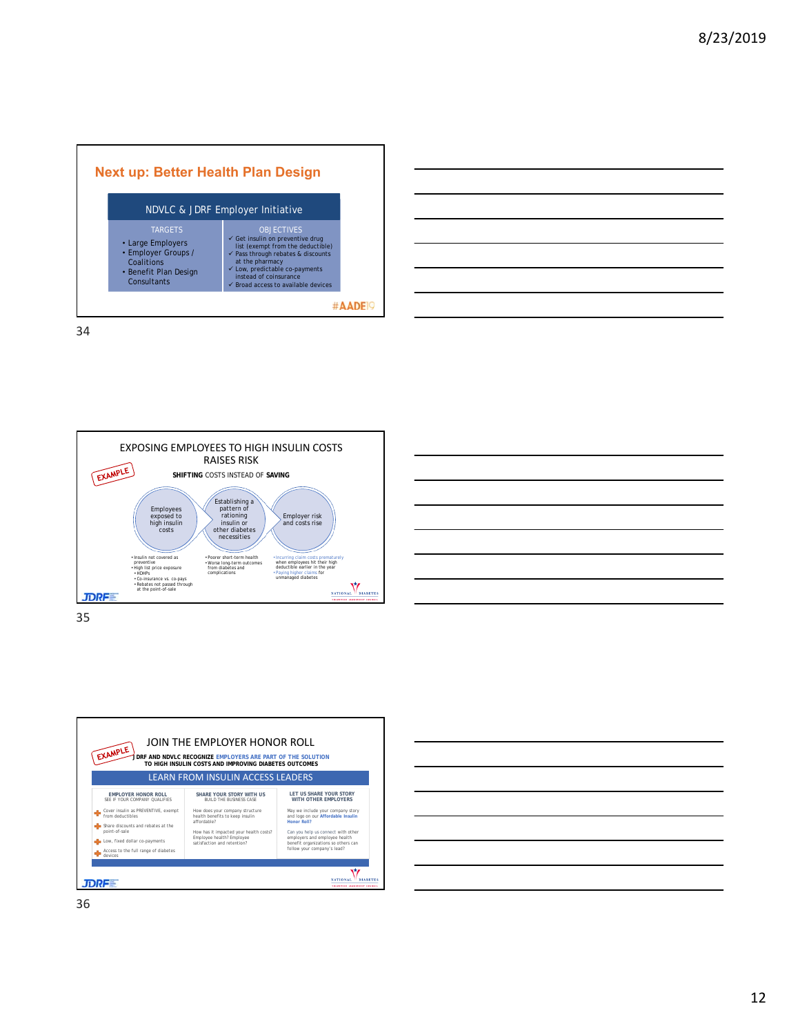|                                                                                                                  | NDVLC & JDRF Employer Initiative                                                                                                                                                                                                                                                                   |
|------------------------------------------------------------------------------------------------------------------|----------------------------------------------------------------------------------------------------------------------------------------------------------------------------------------------------------------------------------------------------------------------------------------------------|
| <b>TARGETS</b><br>• Large Employers<br>• Employer Groups /<br>Coalitions<br>• Benefit Plan Design<br>Consultants | <b>OBJECTIVES</b><br>$\checkmark$ Get insulin on preventive drug<br>list (exempt from the deductible)<br>$\checkmark$ Pass through rebates & discounts<br>at the pharmacy<br>$\checkmark$ Low, predictable co-payments<br>instead of coinsurance<br>$\checkmark$ Broad access to available devices |







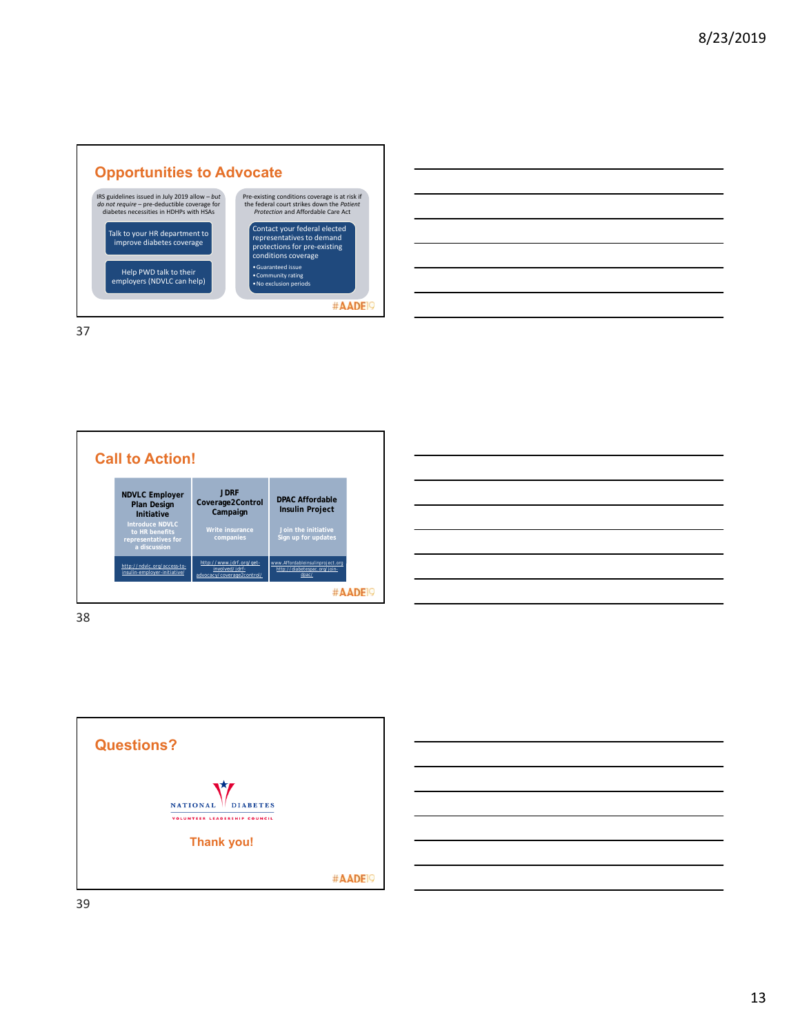

| and the control of the control of the control of the control of the control of the control of the control of the      |  |  |         |
|-----------------------------------------------------------------------------------------------------------------------|--|--|---------|
|                                                                                                                       |  |  |         |
| <u> Alban a shekara ta 1999 a shekara ta 1999 a shekara ta 1999 a shekara ta 1999 a shekara ta 1991 a 1991 a 1991</u> |  |  |         |
| <u> 1989 - Andrea Andrew Maria Andrew Maria Andrew Maria Andrew Maria Andrew Maria Andrew Maria Andrew Maria Andr</u> |  |  | _______ |
|                                                                                                                       |  |  |         |
| the contract of the contract of the contract of                                                                       |  |  |         |